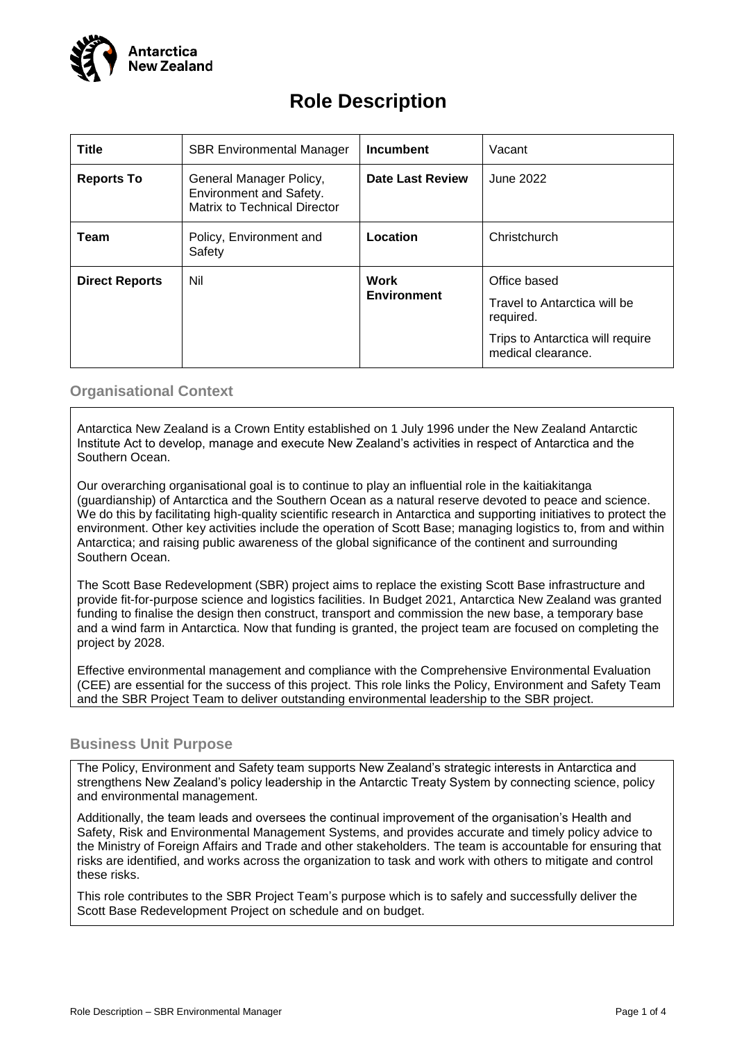

# **Role Description**

| <b>Title</b>          | <b>SBR Environmental Manager</b>                                                   | <b>Incumbent</b>           | Vacant                                                                                                              |
|-----------------------|------------------------------------------------------------------------------------|----------------------------|---------------------------------------------------------------------------------------------------------------------|
| <b>Reports To</b>     | General Manager Policy,<br>Environment and Safety.<br>Matrix to Technical Director | <b>Date Last Review</b>    | June 2022                                                                                                           |
| Team                  | Policy, Environment and<br>Safety                                                  | Location                   | Christchurch                                                                                                        |
| <b>Direct Reports</b> | Nil                                                                                | Work<br><b>Environment</b> | Office based<br>Travel to Antarctica will be<br>required.<br>Trips to Antarctica will require<br>medical clearance. |

## **Organisational Context**

Antarctica New Zealand is a Crown Entity established on 1 July 1996 under the New Zealand Antarctic Institute Act to develop, manage and execute New Zealand's activities in respect of Antarctica and the Southern Ocean.

Our overarching organisational goal is to continue to play an influential role in the kaitiakitanga (guardianship) of Antarctica and the Southern Ocean as a natural reserve devoted to peace and science. We do this by facilitating high-quality scientific research in Antarctica and supporting initiatives to protect the environment. Other key activities include the operation of Scott Base; managing logistics to, from and within Antarctica; and raising public awareness of the global significance of the continent and surrounding Southern Ocean.

The Scott Base Redevelopment (SBR) project aims to replace the existing Scott Base infrastructure and provide fit-for-purpose science and logistics facilities. In Budget 2021, Antarctica New Zealand was granted funding to finalise the design then construct, transport and commission the new base, a temporary base and a wind farm in Antarctica. Now that funding is granted, the project team are focused on completing the project by 2028.

Effective environmental management and compliance with the Comprehensive Environmental Evaluation (CEE) are essential for the success of this project. This role links the Policy, Environment and Safety Team and the SBR Project Team to deliver outstanding environmental leadership to the SBR project.

## **Business Unit Purpose**

The Policy, Environment and Safety team supports New Zealand's strategic interests in Antarctica and strengthens New Zealand's policy leadership in the Antarctic Treaty System by connecting science, policy and environmental management.

Additionally, the team leads and oversees the continual improvement of the organisation's Health and Safety, Risk and Environmental Management Systems, and provides accurate and timely policy advice to the Ministry of Foreign Affairs and Trade and other stakeholders. The team is accountable for ensuring that risks are identified, and works across the organization to task and work with others to mitigate and control these risks.

This role contributes to the SBR Project Team's purpose which is to safely and successfully deliver the Scott Base Redevelopment Project on schedule and on budget.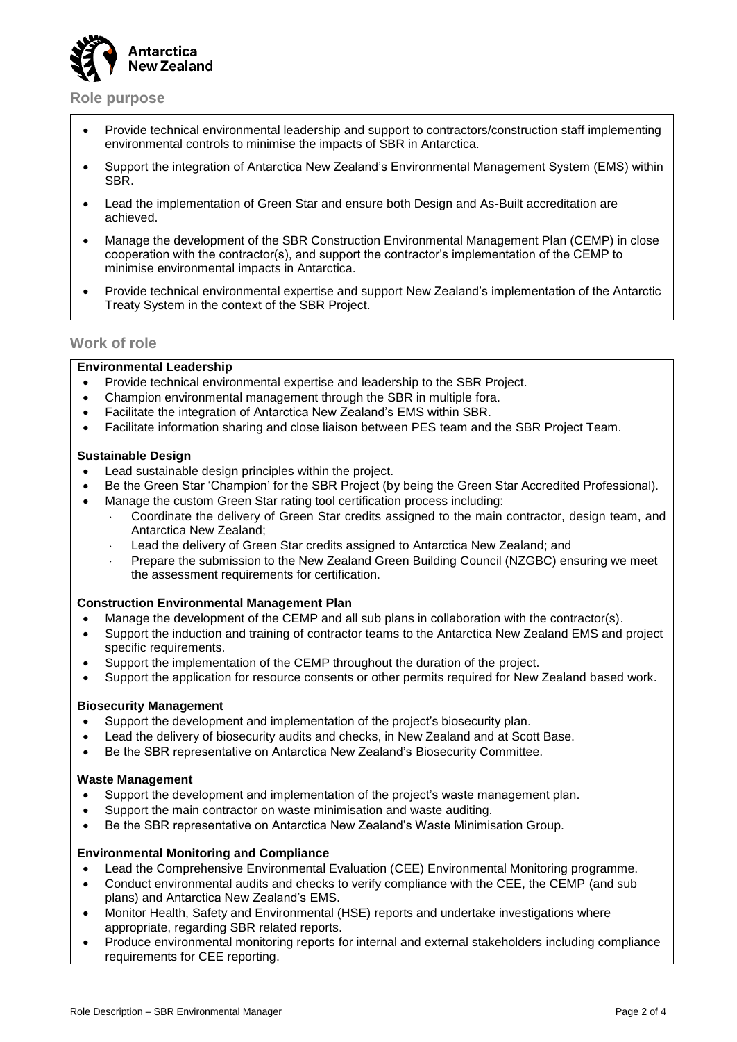

**Role purpose**

- Provide technical environmental leadership and support to contractors/construction staff implementing environmental controls to minimise the impacts of SBR in Antarctica.
- Support the integration of Antarctica New Zealand's Environmental Management System (EMS) within SBR.
- Lead the implementation of Green Star and ensure both Design and As-Built accreditation are achieved.
- Manage the development of the SBR Construction Environmental Management Plan (CEMP) in close cooperation with the contractor(s), and support the contractor's implementation of the CEMP to minimise environmental impacts in Antarctica.
- Provide technical environmental expertise and support New Zealand's implementation of the Antarctic Treaty System in the context of the SBR Project.

#### **Work of role**

#### **Environmental Leadership**

- Provide technical environmental expertise and leadership to the SBR Project.
- Champion environmental management through the SBR in multiple fora.
- Facilitate the integration of Antarctica New Zealand's EMS within SBR.
- Facilitate information sharing and close liaison between PES team and the SBR Project Team.

#### **Sustainable Design**

- Lead sustainable design principles within the project.
- Be the Green Star 'Champion' for the SBR Project (by being the Green Star Accredited Professional).
- Manage the custom Green Star rating tool certification process including:
	- Coordinate the delivery of Green Star credits assigned to the main contractor, design team, and Antarctica New Zealand;
	- Lead the delivery of Green Star credits assigned to Antarctica New Zealand; and
	- Prepare the submission to the New Zealand Green Building Council (NZGBC) ensuring we meet the assessment requirements for certification.

#### **Construction Environmental Management Plan**

- Manage the development of the CEMP and all sub plans in collaboration with the contractor(s).
- Support the induction and training of contractor teams to the Antarctica New Zealand EMS and project specific requirements.
- Support the implementation of the CEMP throughout the duration of the project.
- Support the application for resource consents or other permits required for New Zealand based work.

#### **Biosecurity Management**

- Support the development and implementation of the project's biosecurity plan.
- Lead the delivery of biosecurity audits and checks, in New Zealand and at Scott Base.
- Be the SBR representative on Antarctica New Zealand's Biosecurity Committee.

#### **Waste Management**

- Support the development and implementation of the project's waste management plan.
- Support the main contractor on waste minimisation and waste auditing.
- Be the SBR representative on Antarctica New Zealand's Waste Minimisation Group.

#### **Environmental Monitoring and Compliance**

- Lead the Comprehensive Environmental Evaluation (CEE) Environmental Monitoring programme.
- Conduct environmental audits and checks to verify compliance with the CEE, the CEMP (and sub plans) and Antarctica New Zealand's EMS.
- Monitor Health, Safety and Environmental (HSE) reports and undertake investigations where appropriate, regarding SBR related reports.
- Produce environmental monitoring reports for internal and external stakeholders including compliance requirements for CEE reporting.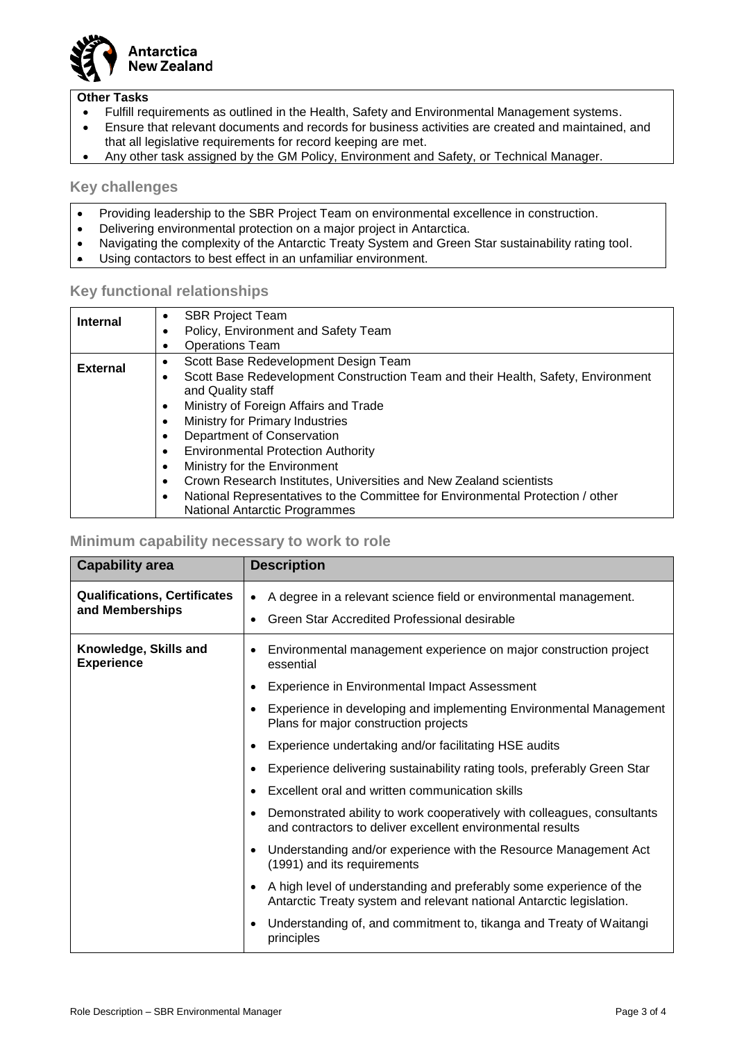

#### **Other Tasks**

- Fulfill requirements as outlined in the Health, Safety and Environmental Management systems.
- Ensure that relevant documents and records for business activities are created and maintained, and that all legislative requirements for record keeping are met.
- Any other task assigned by the GM Policy, Environment and Safety, or Technical Manager.

#### **Key challenges**

- Providing leadership to the SBR Project Team on environmental excellence in construction.
- Delivering environmental protection on a major project in Antarctica.
- Navigating the complexity of the Antarctic Treaty System and Green Star sustainability rating tool.
- Using contactors to best effect in an unfamiliar environment.

### **Key functional relationships**

| <b>Internal</b> | <b>SBR Project Team</b><br>$\bullet$                                                                                   |
|-----------------|------------------------------------------------------------------------------------------------------------------------|
|                 | Policy, Environment and Safety Team                                                                                    |
|                 | <b>Operations Team</b>                                                                                                 |
| <b>External</b> | Scott Base Redevelopment Design Team                                                                                   |
|                 | Scott Base Redevelopment Construction Team and their Health, Safety, Environment<br>and Quality staff                  |
|                 | Ministry of Foreign Affairs and Trade                                                                                  |
|                 | Ministry for Primary Industries                                                                                        |
|                 | Department of Conservation                                                                                             |
|                 | <b>Environmental Protection Authority</b>                                                                              |
|                 | Ministry for the Environment                                                                                           |
|                 | Crown Research Institutes, Universities and New Zealand scientists<br>$\bullet$                                        |
|                 | National Representatives to the Committee for Environmental Protection / other<br><b>National Antarctic Programmes</b> |

#### **Minimum capability necessary to work to role**

| <b>Capability area</b>                                 | <b>Description</b>                                                                                                                          |  |
|--------------------------------------------------------|---------------------------------------------------------------------------------------------------------------------------------------------|--|
| <b>Qualifications, Certificates</b><br>and Memberships | A degree in a relevant science field or environmental management.<br>Green Star Accredited Professional desirable                           |  |
| Knowledge, Skills and<br><b>Experience</b>             | Environmental management experience on major construction project<br>essential                                                              |  |
|                                                        | Experience in Environmental Impact Assessment                                                                                               |  |
|                                                        | Experience in developing and implementing Environmental Management<br>Plans for major construction projects                                 |  |
|                                                        | Experience undertaking and/or facilitating HSE audits                                                                                       |  |
|                                                        | Experience delivering sustainability rating tools, preferably Green Star                                                                    |  |
|                                                        | Excellent oral and written communication skills                                                                                             |  |
|                                                        | Demonstrated ability to work cooperatively with colleagues, consultants<br>and contractors to deliver excellent environmental results       |  |
|                                                        | Understanding and/or experience with the Resource Management Act<br>(1991) and its requirements                                             |  |
|                                                        | A high level of understanding and preferably some experience of the<br>Antarctic Treaty system and relevant national Antarctic legislation. |  |
|                                                        | Understanding of, and commitment to, tikanga and Treaty of Waitangi<br>principles                                                           |  |